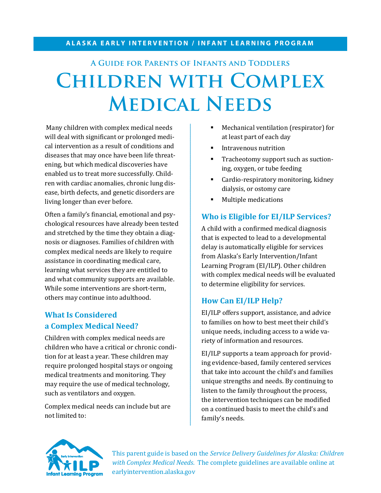# **A Guide for Parents of Infants and Toddlers Children with Complex Medical Needs**

Many children with complex medical needs will deal with significant or prolonged medical intervention as a result of conditions and diseases that may once have been life threatening, but which medical discoveries have enabled us to treat more successfully. Children with cardiac anomalies, chronic lung disease, birth defects, and genetic disorders are living longer than ever before.

Often a family's financial, emotional and psychological resources have already been tested and stretched by the time they obtain a diagnosis or diagnoses. Families of children with complex medical needs are likely to require assistance in coordinating medical care, learning what services they are entitled to and what community supports are available. While some interventions are short-term, others may continue into adulthood.

### **What Is Considered a Complex Medical Need?**

Children with complex medical needs are children who have a critical or chronic condition for at least a year. These children may require prolonged hospital stays or ongoing medical treatments and monitoring. They may require the use of medical technology, such as ventilators and oxygen.

Complex medical needs can include but are not limited to:

- Mechanical ventilation (respirator) for at least part of each day
- Intravenous nutrition
- **Tracheotomy support such as suction**ing, oxygen, or tube feeding
- **Cardio-respiratory monitoring, kidney** dialysis, or ostomy care
- **Multiple medications**

#### **Who is Eligible for EI/ILP Services?**

A child with a confirmed medical diagnosis that is expected to lead to a developmental delay is automatically eligible for services from Alaska's Early Intervention/Infant Learning Program (EI/ILP). Other children with complex medical needs will be evaluated to determine eligibility for services.

#### **How Can EI/ILP Help?**

EI/ILP offers support, assistance, and advice to families on how to best meet their child's unique needs, including access to a wide variety of information and resources.

EI/ILP supports a team approach for providing evidence-based, family centered services that take into account the child's and families unique strengths and needs. By continuing to listen to the family throughout the process, the intervention techniques can be modified on a continued basis to meet the child's and family's needs.



This parent guide is based on the *Service Delivery Guidelines for Alaska: Children with Complex Medical Needs*. The complete guidelines are available online at earlyintervention.alaska.gov